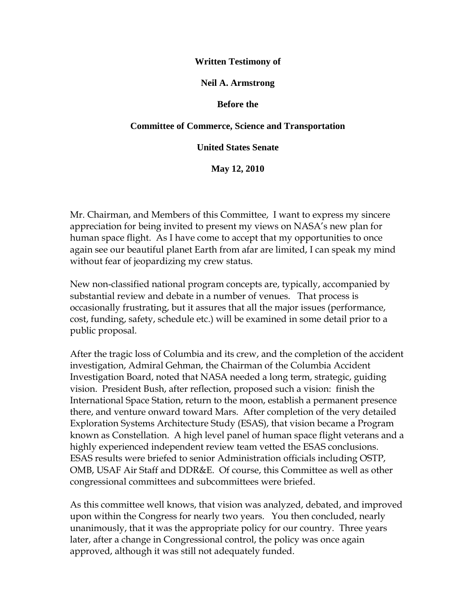#### **Written Testimony of**

#### **Neil A. Armstrong**

#### **Before the**

#### **Committee of Commerce, Science and Transportation**

**United States Senate**

**May 12, 2010**

Mr. Chairman, and Members of this Committee, I want to express my sincere appreciation for being invited to present my views on NASA"s new plan for human space flight. As I have come to accept that my opportunities to once again see our beautiful planet Earth from afar are limited, I can speak my mind without fear of jeopardizing my crew status.

New non-classified national program concepts are, typically, accompanied by substantial review and debate in a number of venues. That process is occasionally frustrating, but it assures that all the major issues (performance, cost, funding, safety, schedule etc.) will be examined in some detail prior to a public proposal.

After the tragic loss of Columbia and its crew, and the completion of the accident investigation, Admiral Gehman, the Chairman of the Columbia Accident Investigation Board, noted that NASA needed a long term, strategic, guiding vision. President Bush, after reflection, proposed such a vision: finish the International Space Station, return to the moon, establish a permanent presence there, and venture onward toward Mars. After completion of the very detailed Exploration Systems Architecture Study (ESAS), that vision became a Program known as Constellation. A high level panel of human space flight veterans and a highly experienced independent review team vetted the ESAS conclusions. ESAS results were briefed to senior Administration officials including OSTP, OMB, USAF Air Staff and DDR&E. Of course, this Committee as well as other congressional committees and subcommittees were briefed.

As this committee well knows, that vision was analyzed, debated, and improved upon within the Congress for nearly two years. You then concluded, nearly unanimously, that it was the appropriate policy for our country. Three years later, after a change in Congressional control, the policy was once again approved, although it was still not adequately funded.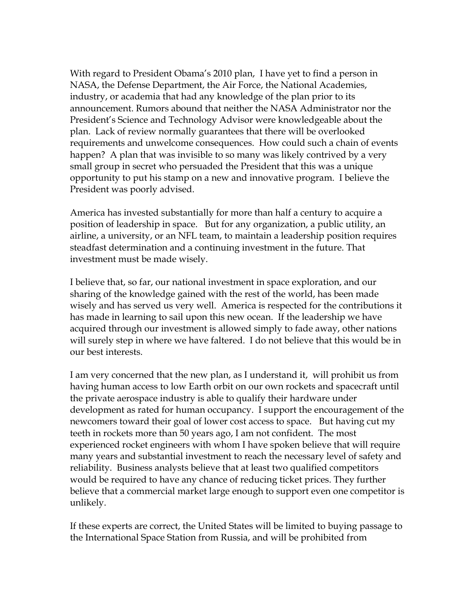With regard to President Obama"s 2010 plan, I have yet to find a person in NASA, the Defense Department, the Air Force, the National Academies, industry, or academia that had any knowledge of the plan prior to its announcement. Rumors abound that neither the NASA Administrator nor the President"s Science and Technology Advisor were knowledgeable about the plan. Lack of review normally guarantees that there will be overlooked requirements and unwelcome consequences. How could such a chain of events happen? A plan that was invisible to so many was likely contrived by a very small group in secret who persuaded the President that this was a unique opportunity to put his stamp on a new and innovative program. I believe the President was poorly advised.

America has invested substantially for more than half a century to acquire a position of leadership in space. But for any organization, a public utility, an airline, a university, or an NFL team, to maintain a leadership position requires steadfast determination and a continuing investment in the future. That investment must be made wisely.

I believe that, so far, our national investment in space exploration, and our sharing of the knowledge gained with the rest of the world, has been made wisely and has served us very well. America is respected for the contributions it has made in learning to sail upon this new ocean. If the leadership we have acquired through our investment is allowed simply to fade away, other nations will surely step in where we have faltered. I do not believe that this would be in our best interests.

I am very concerned that the new plan, as I understand it, will prohibit us from having human access to low Earth orbit on our own rockets and spacecraft until the private aerospace industry is able to qualify their hardware under development as rated for human occupancy. I support the encouragement of the newcomers toward their goal of lower cost access to space. But having cut my teeth in rockets more than 50 years ago, I am not confident. The most experienced rocket engineers with whom I have spoken believe that will require many years and substantial investment to reach the necessary level of safety and reliability. Business analysts believe that at least two qualified competitors would be required to have any chance of reducing ticket prices. They further believe that a commercial market large enough to support even one competitor is unlikely.

If these experts are correct, the United States will be limited to buying passage to the International Space Station from Russia, and will be prohibited from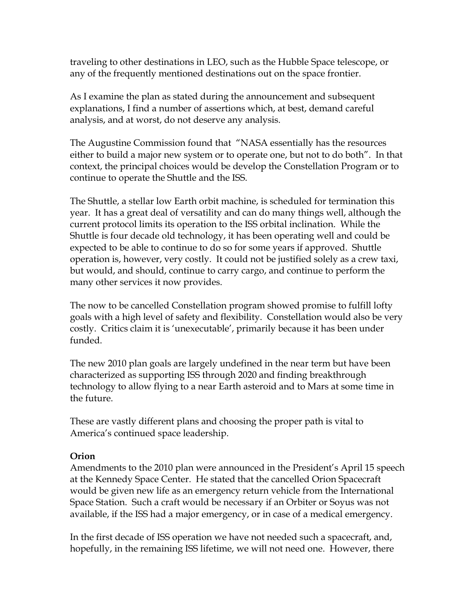traveling to other destinations in LEO, such as the Hubble Space telescope, or any of the frequently mentioned destinations out on the space frontier.

As I examine the plan as stated during the announcement and subsequent explanations, I find a number of assertions which, at best, demand careful analysis, and at worst, do not deserve any analysis.

The Augustine Commission found that "NASA essentially has the resources either to build a major new system or to operate one, but not to do both". In that context, the principal choices would be develop the Constellation Program or to continue to operate the Shuttle and the ISS.

The Shuttle, a stellar low Earth orbit machine, is scheduled for termination this year. It has a great deal of versatility and can do many things well, although the current protocol limits its operation to the ISS orbital inclination. While the Shuttle is four decade old technology, it has been operating well and could be expected to be able to continue to do so for some years if approved. Shuttle operation is, however, very costly. It could not be justified solely as a crew taxi, but would, and should, continue to carry cargo, and continue to perform the many other services it now provides.

The now to be cancelled Constellation program showed promise to fulfill lofty goals with a high level of safety and flexibility. Constellation would also be very costly. Critics claim it is "unexecutable", primarily because it has been under funded.

The new 2010 plan goals are largely undefined in the near term but have been characterized as supporting ISS through 2020 and finding breakthrough technology to allow flying to a near Earth asteroid and to Mars at some time in the future.

These are vastly different plans and choosing the proper path is vital to America's continued space leadership.

## **Orion**

Amendments to the 2010 plan were announced in the President"s April 15 speech at the Kennedy Space Center. He stated that the cancelled Orion Spacecraft would be given new life as an emergency return vehicle from the International Space Station. Such a craft would be necessary if an Orbiter or Soyus was not available, if the ISS had a major emergency, or in case of a medical emergency.

In the first decade of ISS operation we have not needed such a spacecraft, and, hopefully, in the remaining ISS lifetime, we will not need one. However, there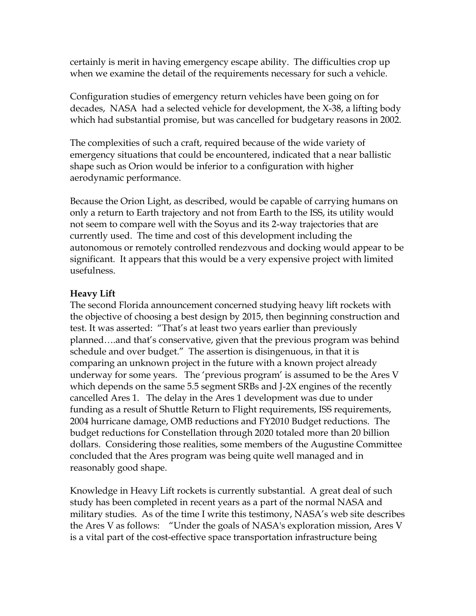certainly is merit in having emergency escape ability. The difficulties crop up when we examine the detail of the requirements necessary for such a vehicle.

Configuration studies of emergency return vehicles have been going on for decades, NASA had a selected vehicle for development, the X-38, a lifting body which had substantial promise, but was cancelled for budgetary reasons in 2002.

The complexities of such a craft, required because of the wide variety of emergency situations that could be encountered, indicated that a near ballistic shape such as Orion would be inferior to a configuration with higher aerodynamic performance.

Because the Orion Light, as described, would be capable of carrying humans on only a return to Earth trajectory and not from Earth to the ISS, its utility would not seem to compare well with the Soyus and its 2-way trajectories that are currently used. The time and cost of this development including the autonomous or remotely controlled rendezvous and docking would appear to be significant. It appears that this would be a very expensive project with limited usefulness.

# **Heavy Lift**

The second Florida announcement concerned studying heavy lift rockets with the objective of choosing a best design by 2015, then beginning construction and test. It was asserted: "That's at least two years earlier than previously planned….and that"s conservative, given that the previous program was behind schedule and over budget." The assertion is disingenuous, in that it is comparing an unknown project in the future with a known project already underway for some years. The 'previous program' is assumed to be the Ares V which depends on the same 5.5 segment SRBs and J-2X engines of the recently cancelled Ares 1. The delay in the Ares 1 development was due to under funding as a result of Shuttle Return to Flight requirements, ISS requirements, 2004 hurricane damage, OMB reductions and FY2010 Budget reductions. The budget reductions for Constellation through 2020 totaled more than 20 billion dollars. Considering those realities, some members of the Augustine Committee concluded that the Ares program was being quite well managed and in reasonably good shape.

Knowledge in Heavy Lift rockets is currently substantial. A great deal of such study has been completed in recent years as a part of the normal NASA and military studies. As of the time I write this testimony, NASA"s web site describes the Ares V as follows: "Under the goals of NASA's exploration mission, Ares V is a vital part of the cost-effective space transportation infrastructure being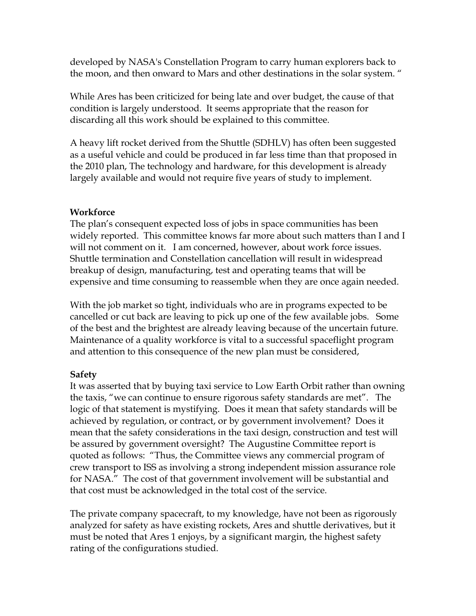developed by NASA's Constellation Program to carry human explorers back to the moon, and then onward to Mars and other destinations in the solar system. "

While Ares has been criticized for being late and over budget, the cause of that condition is largely understood. It seems appropriate that the reason for discarding all this work should be explained to this committee.

A heavy lift rocket derived from the Shuttle (SDHLV) has often been suggested as a useful vehicle and could be produced in far less time than that proposed in the 2010 plan, The technology and hardware, for this development is already largely available and would not require five years of study to implement.

### **Workforce**

The plan"s consequent expected loss of jobs in space communities has been widely reported. This committee knows far more about such matters than I and I will not comment on it. I am concerned, however, about work force issues. Shuttle termination and Constellation cancellation will result in widespread breakup of design, manufacturing, test and operating teams that will be expensive and time consuming to reassemble when they are once again needed.

With the job market so tight, individuals who are in programs expected to be cancelled or cut back are leaving to pick up one of the few available jobs. Some of the best and the brightest are already leaving because of the uncertain future. Maintenance of a quality workforce is vital to a successful spaceflight program and attention to this consequence of the new plan must be considered,

## **Safety**

It was asserted that by buying taxi service to Low Earth Orbit rather than owning the taxis, "we can continue to ensure rigorous safety standards are met". The logic of that statement is mystifying. Does it mean that safety standards will be achieved by regulation, or contract, or by government involvement? Does it mean that the safety considerations in the taxi design, construction and test will be assured by government oversight? The Augustine Committee report is quoted as follows: "Thus, the Committee views any commercial program of crew transport to ISS as involving a strong independent mission assurance role for NASA." The cost of that government involvement will be substantial and that cost must be acknowledged in the total cost of the service.

The private company spacecraft, to my knowledge, have not been as rigorously analyzed for safety as have existing rockets, Ares and shuttle derivatives, but it must be noted that Ares 1 enjoys, by a significant margin, the highest safety rating of the configurations studied.